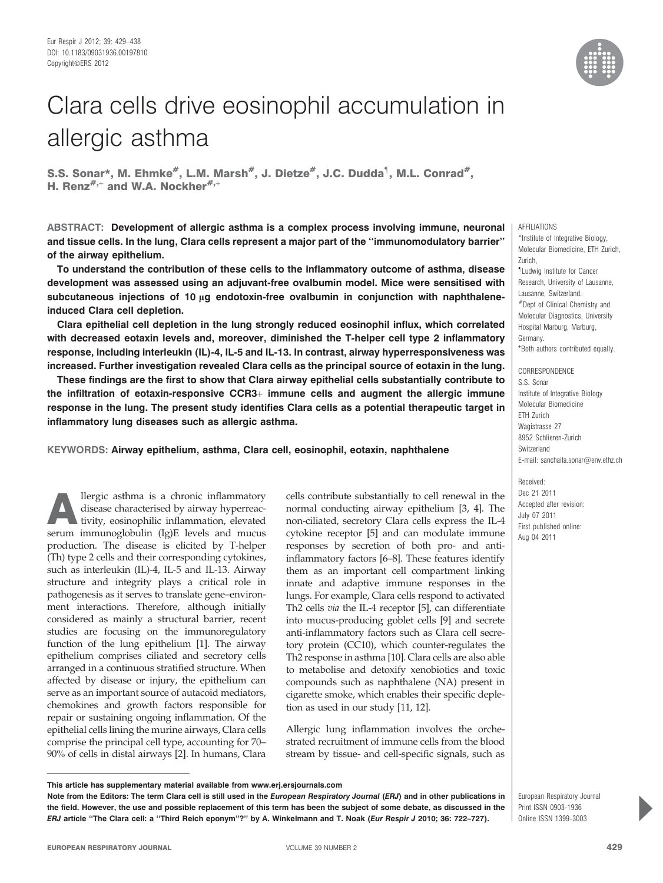

# Clara cells drive eosinophil accumulation in allergic asthma

S.S. Sonar\*, M. Ehmke<sup>#</sup>, L.M. Marsh<sup>#</sup>, J. Dietze<sup>#</sup>, J.C. Dudda<sup>1</sup>, M.L. Conrad<sup>#</sup>, H. Renz<sup>#,+</sup> and W.A. Nockher<sup>#,+</sup>

ABSTRACT: Development of allergic asthma is a complex process involving immune, neuronal and tissue cells. In the lung, Clara cells represent a major part of the ''immunomodulatory barrier'' of the airway epithelium.

To understand the contribution of these cells to the inflammatory outcome of asthma, disease development was assessed using an adjuvant-free ovalbumin model. Mice were sensitised with subcutaneous injections of 10 µg endotoxin-free ovalbumin in conjunction with naphthaleneinduced Clara cell depletion.

Clara epithelial cell depletion in the lung strongly reduced eosinophil influx, which correlated with decreased eotaxin levels and, moreover, diminished the T-helper cell type 2 inflammatory response, including interleukin (IL)-4, IL-5 and IL-13. In contrast, airway hyperresponsiveness was increased. Further investigation revealed Clara cells as the principal source of eotaxin in the lung.

These findings are the first to show that Clara airway epithelial cells substantially contribute to the infiltration of eotaxin-responsive CCR3+ immune cells and augment the allergic immune response in the lung. The present study identifies Clara cells as a potential therapeutic target in inflammatory lung diseases such as allergic asthma.

KEYWORDS: Airway epithelium, asthma, Clara cell, eosinophil, eotaxin, naphthalene

Allergic asthma is a chronic inflammatory disease characterised by airway hyperreactivity, eosinophilic inflammation, elevated serum immunoglobulin (Ig)E levels and mucus production. The disease is elicited by T-helper (Th) type 2 cells and their corresponding cytokines, such as interleukin (IL)-4, IL-5 and IL-13. Airway structure and integrity plays a critical role in pathogenesis as it serves to translate gene–environment interactions. Therefore, although initially considered as mainly a structural barrier, recent studies are focusing on the immunoregulatory function of the lung epithelium [1]. The airway epithelium comprises ciliated and secretory cells arranged in a continuous stratified structure. When affected by disease or injury, the epithelium can serve as an important source of autacoid mediators, chemokines and growth factors responsible for repair or sustaining ongoing inflammation. Of the epithelial cells lining the murine airways, Clara cells comprise the principal cell type, accounting for 70– 90% of cells in distal airways [2]. In humans, Clara cells contribute substantially to cell renewal in the normal conducting airway epithelium [3, 4]. The non-ciliated, secretory Clara cells express the IL-4 cytokine receptor [5] and can modulate immune responses by secretion of both pro- and antiinflammatory factors [6–8]. These features identify them as an important cell compartment linking innate and adaptive immune responses in the lungs. For example, Clara cells respond to activated Th2 cells via the IL-4 receptor [5], can differentiate into mucus-producing goblet cells [9] and secrete anti-inflammatory factors such as Clara cell secretory protein (CC10), which counter-regulates the Th2 response in asthma [10]. Clara cells are also able to metabolise and detoxify xenobiotics and toxic compounds such as naphthalene (NA) present in cigarette smoke, which enables their specific depletion as used in our study [11, 12].

Allergic lung inflammation involves the orchestrated recruitment of immune cells from the blood stream by tissue- and cell-specific signals, such as AFFILIATIONS

\*Institute of Integrative Biology, Molecular Biomedicine, ETH Zurich, Zurich, " Ludwig Institute for Cancer Research, University of Lausanne, Lausanne, Switzerland. #Dept of Clinical Chemistry and Molecular Diagnostics, University Hospital Marburg, Marburg, Germany. + Both authors contributed equally.

CORRESPONDENCE S.S. Sonar Institute of Integrative Biology Molecular Biomedicine ETH Zurich Wagistrasse 27 8952 Schlieren-Zurich Switzerland E-mail: sanchaita.sonar@env.ethz.ch

Received: Dec 21 2011 Accepted after revision: July 07 2011 First published online: Aug 04 2011

European Respiratory Journal Print ISSN 0903-1936 Online ISSN 1399-3003

This article has supplementary material available from www.erj.ersjournals.com

Note from the Editors: The term Clara cell is still used in the European Respiratory Journal (ERJ) and in other publications in the field. However, the use and possible replacement of this term has been the subject of some debate, as discussed in the ERJ article ''The Clara cell: a ''Third Reich eponym''?'' by A. Winkelmann and T. Noak (Eur Respir J 2010; 36: 722–727).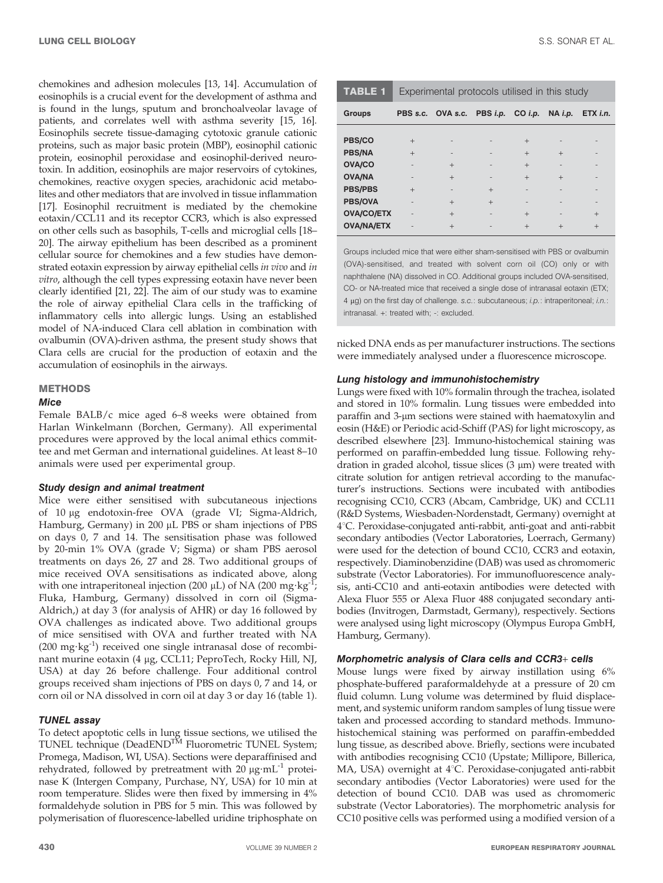chemokines and adhesion molecules [13, 14]. Accumulation of eosinophils is a crucial event for the development of asthma and is found in the lungs, sputum and bronchoalveolar lavage of patients, and correlates well with asthma severity [15, 16]. Eosinophils secrete tissue-damaging cytotoxic granule cationic proteins, such as major basic protein (MBP), eosinophil cationic protein, eosinophil peroxidase and eosinophil-derived neurotoxin. In addition, eosinophils are major reservoirs of cytokines, chemokines, reactive oxygen species, arachidonic acid metabolites and other mediators that are involved in tissue inflammation [17]. Eosinophil recruitment is mediated by the chemokine eotaxin/CCL11 and its receptor CCR3, which is also expressed on other cells such as basophils, T-cells and microglial cells [18– 20]. The airway epithelium has been described as a prominent cellular source for chemokines and a few studies have demonstrated eotaxin expression by airway epithelial cells in vivo and in vitro, although the cell types expressing eotaxin have never been clearly identified [21, 22]. The aim of our study was to examine the role of airway epithelial Clara cells in the trafficking of inflammatory cells into allergic lungs. Using an established model of NA-induced Clara cell ablation in combination with ovalbumin (OVA)-driven asthma, the present study shows that Clara cells are crucial for the production of eotaxin and the accumulation of eosinophils in the airways.

# **METHODS**

# Mice

Female BALB/c mice aged 6–8 weeks were obtained from Harlan Winkelmann (Borchen, Germany). All experimental procedures were approved by the local animal ethics committee and met German and international guidelines. At least 8–10 animals were used per experimental group.

#### Study design and animal treatment

Mice were either sensitised with subcutaneous injections of 10 mg endotoxin-free OVA (grade VI; Sigma-Aldrich, Hamburg, Germany) in 200 µL PBS or sham injections of PBS on days 0, 7 and 14. The sensitisation phase was followed by 20-min 1% OVA (grade V; Sigma) or sham PBS aerosol treatments on days 26, 27 and 28. Two additional groups of mice received OVA sensitisations as indicated above, along with one intraperitoneal injection (200  $\mu$ L) of NA (200 mg·kg<sup>-1</sup>; Fluka, Hamburg, Germany) dissolved in corn oil (Sigma-Aldrich,) at day 3 (for analysis of AHR) or day 16 followed by OVA challenges as indicated above. Two additional groups of mice sensitised with OVA and further treated with NA  $(200 \text{ mg} \cdot \text{kg}^{-1})$  received one single intranasal dose of recombinant murine eotaxin (4 mg, CCL11; PeproTech, Rocky Hill, NJ, USA) at day 26 before challenge. Four additional control groups received sham injections of PBS on days 0, 7 and 14, or corn oil or NA dissolved in corn oil at day 3 or day 16 (table 1).

# TUNEL assay

To detect apoptotic cells in lung tissue sections, we utilised the TUNEL technique (DeadEND<sup>TM</sup> Fluorometric TUNEL System; Promega, Madison, WI, USA). Sections were deparaffinised and rehydrated, followed by pretreatment with  $20 \mu g \cdot mL^{-1}$  proteinase K (Intergen Company, Purchase, NY, USA) for 10 min at room temperature. Slides were then fixed by immersing in 4% formaldehyde solution in PBS for 5 min. This was followed by polymerisation of fluorescence-labelled uridine triphosphate on

| <b>TABLE 1</b>    | Experimental protocols utilised in this study |                                    |     |        |                  |                 |
|-------------------|-----------------------------------------------|------------------------------------|-----|--------|------------------|-----------------|
| <b>Groups</b>     |                                               | PBS s.c. OVA s.c. PBS i.p. CO i.p. |     |        | $NA$ <i>i.p.</i> | ETX <i>i.n.</i> |
|                   |                                               |                                    |     |        |                  |                 |
| PBS/CO            | $^{+}$                                        |                                    |     | $^{+}$ |                  |                 |
| <b>PBS/NA</b>     | $^{+}$                                        |                                    |     | $^{+}$ | $+$              |                 |
| OVA/CO            |                                               | $^{+}$                             |     | $^{+}$ |                  |                 |
| <b>OVA/NA</b>     |                                               | $^{+}$                             |     | $^{+}$ | $+$              |                 |
| <b>PBS/PBS</b>    | $^{+}$                                        |                                    | $+$ |        |                  |                 |
| <b>PBS/OVA</b>    |                                               | $^{+}$                             | $+$ |        |                  |                 |
| <b>OVA/CO/ETX</b> |                                               | $^{+}$                             |     | $^{+}$ |                  | $+$             |
| <b>OVA/NA/ETX</b> |                                               | $^{+}$                             |     | $^{+}$ | $^{+}$           | $^{+}$          |

Groups included mice that were either sham-sensitised with PBS or ovalbumin (OVA)-sensitised, and treated with solvent corn oil (CO) only or with naphthalene (NA) dissolved in CO. Additional groups included OVA-sensitised, CO- or NA-treated mice that received a single dose of intranasal eotaxin (ETX;  $4 \mu q$ ) on the first day of challenge. s.c.: subcutaneous; i.p.: intraperitoneal; i.n.: intranasal. +: treated with; -: excluded.

nicked DNA ends as per manufacturer instructions. The sections were immediately analysed under a fluorescence microscope.

## Lung histology and immunohistochemistry

Lungs were fixed with 10% formalin through the trachea, isolated and stored in 10% formalin. Lung tissues were embedded into paraffin and 3-µm sections were stained with haematoxylin and eosin (H&E) or Periodic acid-Schiff (PAS) for light microscopy, as described elsewhere [23]. Immuno-histochemical staining was performed on paraffin-embedded lung tissue. Following rehydration in graded alcohol, tissue slices  $(3 \mu m)$  were treated with citrate solution for antigen retrieval according to the manufacturer's instructions. Sections were incubated with antibodies recognising CC10, CCR3 (Abcam, Cambridge, UK) and CCL11 (R&D Systems, Wiesbaden-Nordenstadt, Germany) overnight at 4°C. Peroxidase-conjugated anti-rabbit, anti-goat and anti-rabbit secondary antibodies (Vector Laboratories, Loerrach, Germany) were used for the detection of bound CC10, CCR3 and eotaxin, respectively. Diaminobenzidine (DAB) was used as chromomeric substrate (Vector Laboratories). For immunofluorescence analysis, anti-CC10 and anti-eotaxin antibodies were detected with Alexa Fluor 555 or Alexa Fluor 488 conjugated secondary antibodies (Invitrogen, Darmstadt, Germany), respectively. Sections were analysed using light microscopy (Olympus Europa GmbH, Hamburg, Germany).

# Morphometric analysis of Clara cells and CCR3+ cells

Mouse lungs were fixed by airway instillation using 6% phosphate-buffered paraformaldehyde at a pressure of 20 cm fluid column. Lung volume was determined by fluid displacement, and systemic uniform random samples of lung tissue were taken and processed according to standard methods. Immunohistochemical staining was performed on paraffin-embedded lung tissue, as described above. Briefly, sections were incubated with antibodies recognising CC10 (Upstate; Millipore, Billerica, MA, USA) overnight at 4°C. Peroxidase-conjugated anti-rabbit secondary antibodies (Vector Laboratories) were used for the detection of bound CC10. DAB was used as chromomeric substrate (Vector Laboratories). The morphometric analysis for CC10 positive cells was performed using a modified version of a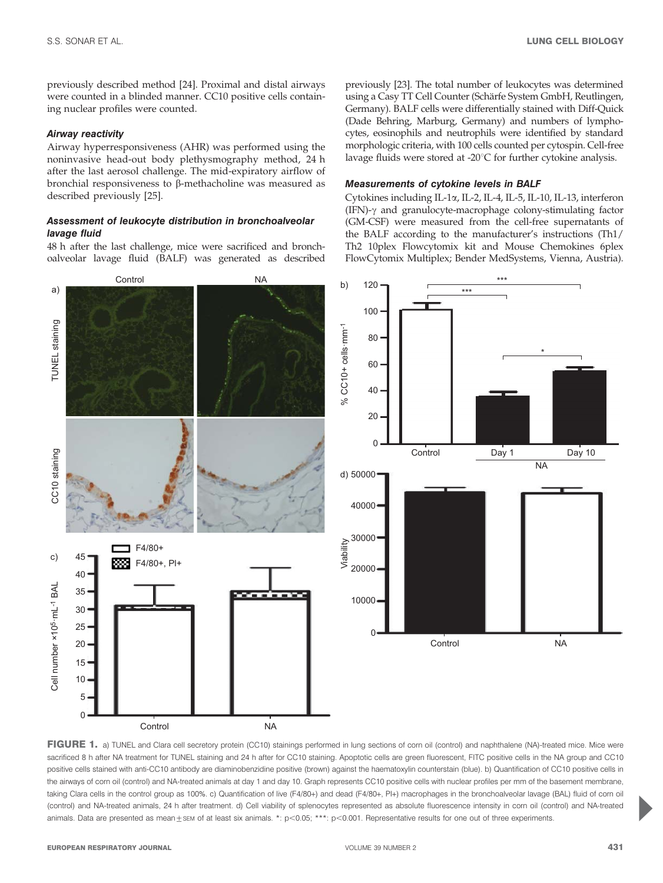previously described method [24]. Proximal and distal airways were counted in a blinded manner. CC10 positive cells containing nuclear profiles were counted.

## Airway reactivity

Airway hyperresponsiveness (AHR) was performed using the noninvasive head-out body plethysmography method, 24 h after the last aerosol challenge. The mid-expiratory airflow of bronchial responsiveness to  $\beta$ -methacholine was measured as described previously [25].

# Assessment of leukocyte distribution in bronchoalveolar lavage fluid

48 h after the last challenge, mice were sacrificed and bronchoalveolar lavage fluid (BALF) was generated as described previously [23]. The total number of leukocytes was determined using a Casy TT Cell Counter (Schärfe System GmbH, Reutlingen, Germany). BALF cells were differentially stained with Diff-Quick (Dade Behring, Marburg, Germany) and numbers of lymphocytes, eosinophils and neutrophils were identified by standard morphologic criteria, with 100 cells counted per cytospin. Cell-free lavage fluids were stored at -20 $^{\circ}$ C for further cytokine analysis.

## Measurements of cytokine levels in BALF

Cytokines including IL-1a, IL-2, IL-4, IL-5, IL-10, IL-13, interferon (IFN)- $\gamma$  and granulocyte-macrophage colony-stimulating factor (GM-CSF) were measured from the cell-free supernatants of the BALF according to the manufacturer's instructions (Th1/ Th2 10plex Flowcytomix kit and Mouse Chemokines 6plex FlowCytomix Multiplex; Bender MedSystems, Vienna, Austria).



FIGURE 1. a) TUNEL and Clara cell secretory protein (CC10) stainings performed in lung sections of corn oil (control) and naphthalene (NA)-treated mice. Mice were sacrificed 8 h after NA treatment for TUNEL staining and 24 h after for CC10 staining. Apoptotic cells are green fluorescent, FITC positive cells in the NA group and CC10 positive cells stained with anti-CC10 antibody are diaminobenzidine positive (brown) against the haematoxylin counterstain (blue). b) Quantification of CC10 positive cells in the airways of corn oil (control) and NA-treated animals at day 1 and day 10. Graph represents CC10 positive cells with nuclear profiles per mm of the basement membrane, taking Clara cells in the control group as 100%. c) Quantification of live (F4/80+) and dead (F4/80+, PI+) macrophages in the bronchoalveolar lavage (BAL) fluid of corn oil (control) and NA-treated animals, 24 h after treatment. d) Cell viability of splenocytes represented as absolute fluorescence intensity in corn oil (control) and NA-treated animals. Data are presented as mean $\pm$ sem of at least six animals. \*: p<0.05; \*\*\*: p<0.001. Representative results for one out of three experiments.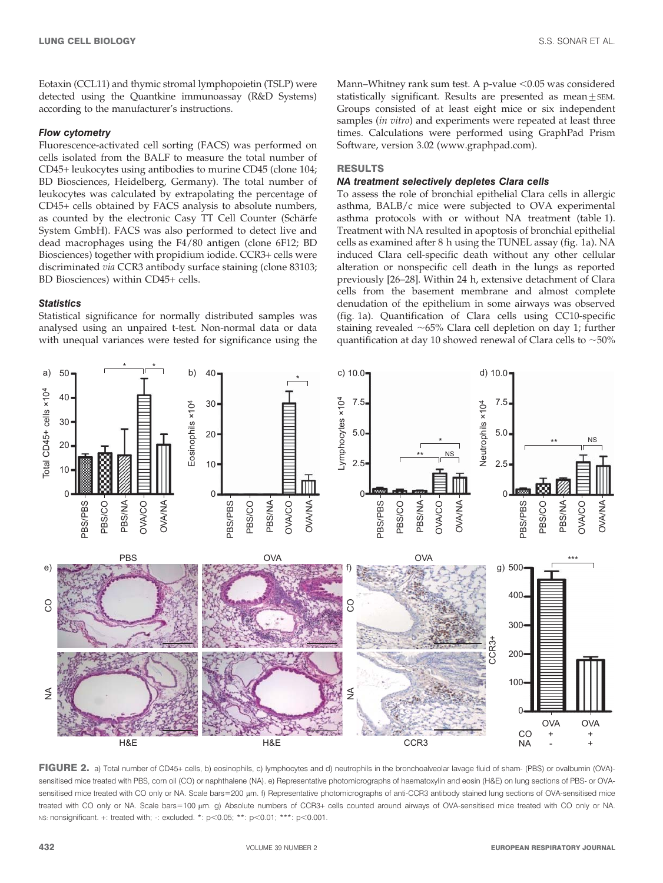Eotaxin (CCL11) and thymic stromal lymphopoietin (TSLP) were detected using the Quantkine immunoassay (R&D Systems) according to the manufacturer's instructions.

# Flow cytometry

Fluorescence-activated cell sorting (FACS) was performed on cells isolated from the BALF to measure the total number of CD45+ leukocytes using antibodies to murine CD45 (clone 104; BD Biosciences, Heidelberg, Germany). The total number of leukocytes was calculated by extrapolating the percentage of CD45+ cells obtained by FACS analysis to absolute numbers, as counted by the electronic Casy TT Cell Counter (Schärfe System GmbH). FACS was also performed to detect live and dead macrophages using the F4/80 antigen (clone 6F12; BD Biosciences) together with propidium iodide. CCR3+ cells were discriminated via CCR3 antibody surface staining (clone 83103; BD Biosciences) within CD45+ cells.

## **Statistics**

Statistical significance for normally distributed samples was analysed using an unpaired t-test. Non-normal data or data with unequal variances were tested for significance using the Mann–Whitney rank sum test. A p-value  $< 0.05$  was considered statistically significant. Results are presented as mean  $+$  SEM. Groups consisted of at least eight mice or six independent samples (*in vitro*) and experiments were repeated at least three times. Calculations were performed using GraphPad Prism Software, version 3.02 (www.graphpad.com).

# RESULTS

## NA treatment selectively depletes Clara cells

To assess the role of bronchial epithelial Clara cells in allergic asthma, BALB/c mice were subjected to OVA experimental asthma protocols with or without NA treatment (table 1). Treatment with NA resulted in apoptosis of bronchial epithelial cells as examined after 8 h using the TUNEL assay (fig. 1a). NA induced Clara cell-specific death without any other cellular alteration or nonspecific cell death in the lungs as reported previously [26–28]. Within 24 h, extensive detachment of Clara cells from the basement membrane and almost complete denudation of the epithelium in some airways was observed (fig. 1a). Quantification of Clara cells using CC10-specific staining revealed  $~65\%$  Clara cell depletion on day 1; further quantification at day 10 showed renewal of Clara cells to  $\sim$  50%



FIGURE 2. a) Total number of CD45+ cells, b) eosinophils, c) lymphocytes and d) neutrophils in the bronchoalveolar lavage fluid of sham- (PBS) or ovalbumin (OVA)sensitised mice treated with PBS, corn oil (CO) or naphthalene (NA). e) Representative photomicrographs of haematoxylin and eosin (H&E) on lung sections of PBS- or OVAsensitised mice treated with CO only or NA. Scale bars=200 µm. f) Representative photomicrographs of anti-CCR3 antibody stained lung sections of OVA-sensitised mice treated with CO only or NA. Scale bars=100 µm. g) Absolute numbers of CCR3+ cells counted around airways of OVA-sensitised mice treated with CO only or NA. NS: nonsignificant. +: treated with; -: excluded. \*:  $p$ <0.05; \*\*:  $p$ <0.01; \*\*\*:  $p$ <0.001.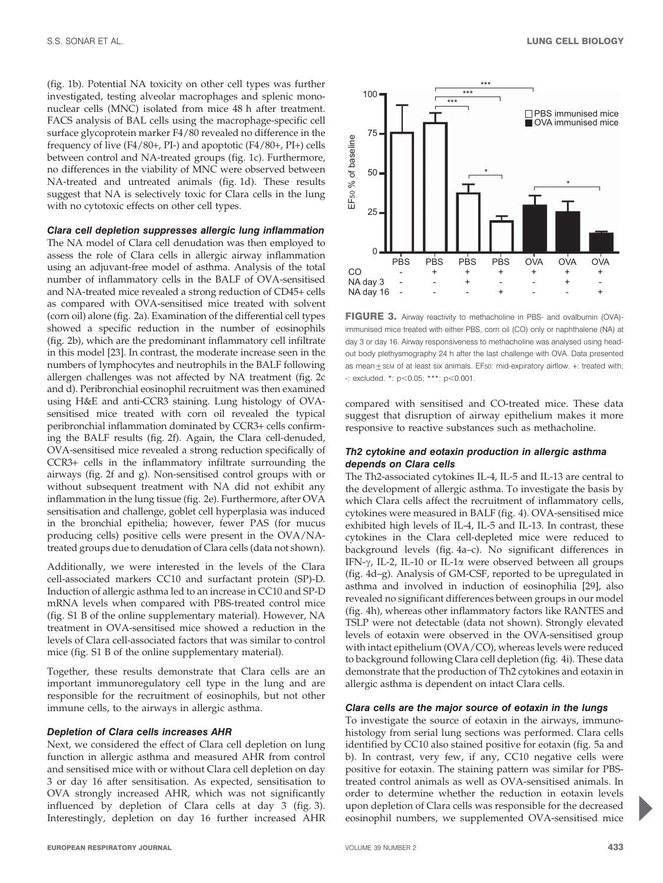(fig. 1b). Potential NA toxicity on other cell types was further investigated, testing alveolar macrophages and splenic mononuclear cells (MNC) isolated from mice 48 h after treatment. FACS analysis of BAL cells using the macrophage-specific cell surface glycoprotein marker F4/80 revealed no difference in the frequency of live (F4/80+, PI-) and apoptotic (F4/80+, PI+) cells between control and NA-treated groups (fig. 1c). Furthermore, no differences in the viability of MNC were observed between NA-treated and untreated animals (fig. 1d). These results suggest that NA is selectively toxic for Clara cells in the lung with no cytotoxic effects on other cell types.

# Clara cell depletion suppresses allergic lung inflammation

The NA model of Clara cell denudation was then employed to assess the role of Clara cells in allergic airway inflammation using an adjuvant-free model of asthma. Analysis of the total number of inflammatory cells in the BALF of OVA-sensitised and NA-treated mice revealed a strong reduction of CD45+ cells as compared with OVA-sensitised mice treated with solvent (corn oil) alone (fig. 2a). Examination of the differential cell types showed a specific reduction in the number of eosinophils (fig. 2b), which are the predominant inflammatory cell infiltrate in this model [23]. In contrast, the moderate increase seen in the numbers of lymphocytes and neutrophils in the BALF following allergen challenges was not affected by NA treatment (fig. 2c and d). Peribronchial eosinophil recruitment was then examined using H&E and anti-CCR3 staining. Lung histology of OVAsensitised mice treated with corn oil revealed the typical peribronchial inflammation dominated by CCR3+ cells confirming the BALF results (fig. 2f). Again, the Clara cell-denuded, OVA-sensitised mice revealed a strong reduction specifically of CCR3+ cells in the inflammatory infiltrate surrounding the airways (fig. 2f and g). Non-sensitised control groups with or without subsequent treatment with NA did not exhibit any inflammation in the lung tissue (fig. 2e). Furthermore, after OVA sensitisation and challenge, goblet cell hyperplasia was induced in the bronchial epithelia; however, fewer PAS (for mucus producing cells) positive cells were present in the OVA/NAtreated groups due to denudation of Clara cells (data not shown).

Additionally, we were interested in the levels of the Clara cell-associated markers CC10 and surfactant protein (SP)-D. Induction of allergic asthma led to an increase in CC10 and SP-D mRNA levels when compared with PBS-treated control mice (fig. S1 B of the online supplementary material). However, NA treatment in OVA-sensitised mice showed a reduction in the levels of Clara cell-associated factors that was similar to control mice (fig. S1 B of the online supplementary material).

Together, these results demonstrate that Clara cells are an important immunoregulatory cell type in the lung and are responsible for the recruitment of eosinophils, but not other immune cells, to the airways in allergic asthma.

## Depletion of Clara cells increases AHR

Next, we considered the effect of Clara cell depletion on lung function in allergic asthma and measured AHR from control and sensitised mice with or without Clara cell depletion on day 3 or day 16 after sensitisation. As expected, sensitisation to OVA strongly increased AHR, which was not significantly influenced by depletion of Clara cells at day 3 (fig. 3). Interestingly, depletion on day 16 further increased AHR



FIGURE 3. Airway reactivity to methacholine in PBS- and ovalbumin (OVA)immunised mice treated with either PBS, corn oil (CO) only or naphthalene (NA) at day 3 or day 16. Airway responsiveness to methacholine was analysed using headout body plethysmography 24 h after the last challenge with OVA. Data presented as mean  $+$  sem of at least six animals. EF50: mid-expiratory airflow.  $+$ : treated with;  $\div$ : excluded. \*: p<0.05; \*\*\*: p<0.001.

compared with sensitised and CO-treated mice. These data suggest that disruption of airway epithelium makes it more responsive to reactive substances such as methacholine.

# Th2 cytokine and eotaxin production in allergic asthma depends on Clara cells

The Th2-associated cytokines IL-4, IL-5 and IL-13 are central to the development of allergic asthma. To investigate the basis by which Clara cells affect the recruitment of inflammatory cells, cytokines were measured in BALF (fig. 4). OVA-sensitised mice exhibited high levels of IL-4, IL-5 and IL-13. In contrast, these cytokines in the Clara cell-depleted mice were reduced to background levels (fig. 4a–c). No significant differences in IFN- $\gamma$ , IL-2, IL-10 or IL-1 $\alpha$  were observed between all groups (fig. 4d–g). Analysis of GM-CSF, reported to be upregulated in asthma and involved in induction of eosinophilia [29], also revealed no significant differences between groups in our model (fig. 4h), whereas other inflammatory factors like RANTES and TSLP were not detectable (data not shown). Strongly elevated levels of eotaxin were observed in the OVA-sensitised group with intact epithelium (OVA/CO), whereas levels were reduced to background following Clara cell depletion (fig. 4i). These data demonstrate that the production of Th2 cytokines and eotaxin in allergic asthma is dependent on intact Clara cells.

## Clara cells are the major source of eotaxin in the lungs

To investigate the source of eotaxin in the airways, immunohistology from serial lung sections was performed. Clara cells identified by CC10 also stained positive for eotaxin (fig. 5a and b). In contrast, very few, if any, CC10 negative cells were positive for eotaxin. The staining pattern was similar for PBStreated control animals as well as OVA-sensitised animals. In order to determine whether the reduction in eotaxin levels upon depletion of Clara cells was responsible for the decreased eosinophil numbers, we supplemented OVA-sensitised mice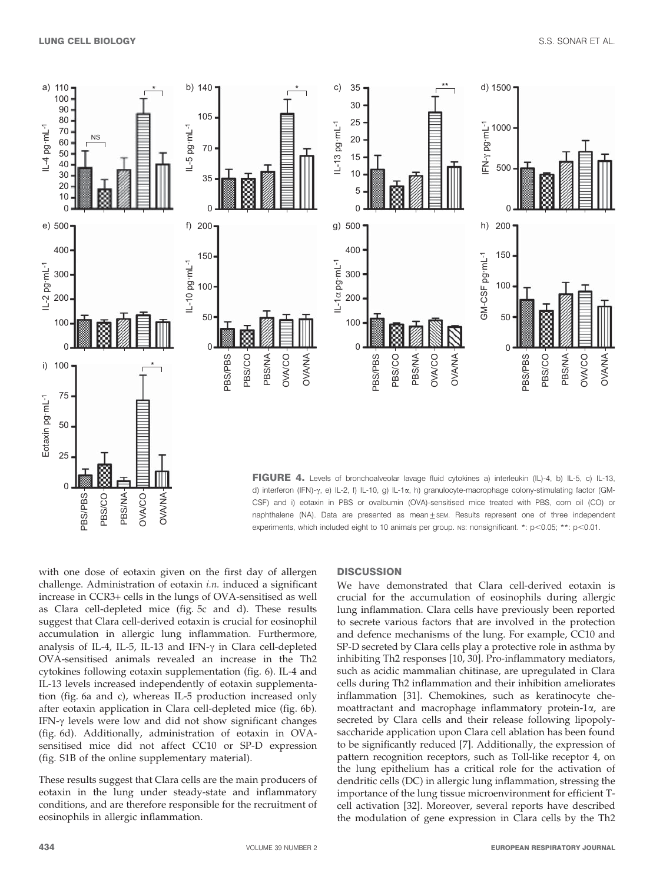

with one dose of eotaxin given on the first day of allergen challenge. Administration of eotaxin i.n. induced a significant increase in CCR3+ cells in the lungs of OVA-sensitised as well as Clara cell-depleted mice (fig. 5c and d). These results suggest that Clara cell-derived eotaxin is crucial for eosinophil accumulation in allergic lung inflammation. Furthermore, analysis of IL-4, IL-5, IL-13 and IFN- $\gamma$  in Clara cell-depleted OVA-sensitised animals revealed an increase in the Th2 cytokines following eotaxin supplementation (fig. 6). IL-4 and IL-13 levels increased independently of eotaxin supplementation (fig. 6a and c), whereas IL-5 production increased only after eotaxin application in Clara cell-depleted mice (fig. 6b). IFN- $\gamma$  levels were low and did not show significant changes (fig. 6d). Additionally, administration of eotaxin in OVAsensitised mice did not affect CC10 or SP-D expression (fig. S1B of the online supplementary material).

These results suggest that Clara cells are the main producers of eotaxin in the lung under steady-state and inflammatory conditions, and are therefore responsible for the recruitment of eosinophils in allergic inflammation.

## **DISCUSSION**

We have demonstrated that Clara cell-derived eotaxin is crucial for the accumulation of eosinophils during allergic lung inflammation. Clara cells have previously been reported to secrete various factors that are involved in the protection and defence mechanisms of the lung. For example, CC10 and SP-D secreted by Clara cells play a protective role in asthma by inhibiting Th2 responses [10, 30]. Pro-inflammatory mediators, such as acidic mammalian chitinase, are upregulated in Clara cells during Th2 inflammation and their inhibition ameliorates inflammation [31]. Chemokines, such as keratinocyte chemoattractant and macrophage inflammatory protein-1a, are secreted by Clara cells and their release following lipopolysaccharide application upon Clara cell ablation has been found to be significantly reduced [7]. Additionally, the expression of pattern recognition receptors, such as Toll-like receptor 4, on the lung epithelium has a critical role for the activation of dendritic cells (DC) in allergic lung inflammation, stressing the importance of the lung tissue microenvironment for efficient Tcell activation [32]. Moreover, several reports have described the modulation of gene expression in Clara cells by the Th2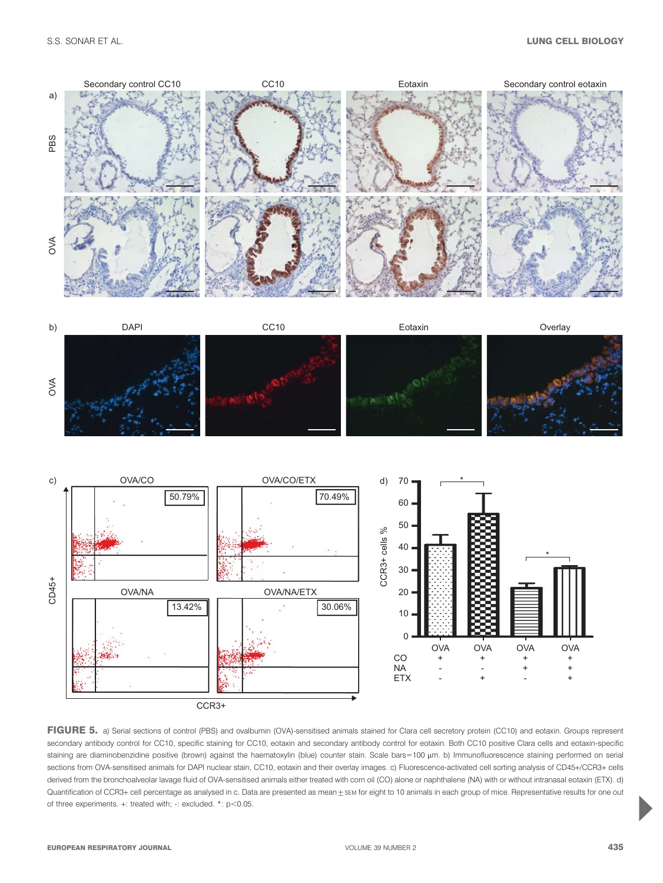

FIGURE 5. a) Serial sections of control (PBS) and ovalbumin (OVA)-sensitised animals stained for Clara cell secretory protein (CC10) and eotaxin. Groups represent secondary antibody control for CC10, specific staining for CC10, eotaxin and secondary antibody control for eotaxin. Both CC10 positive Clara cells and eotaxin-specific staining are diaminobenzidine positive (brown) against the haematoxylin (blue) counter stain. Scale bars=100 µm. b) Immunofluorescence staining performed on serial sections from OVA-sensitised animals for DAPI nuclear stain, CC10, eotaxin and their overlay images. c) Fluorescence-activated cell sorting analysis of CD45+/CCR3+ cells derived from the bronchoalveolar lavage fluid of OVA-sensitised animals either treated with corn oil (CO) alone or naphthalene (NA) with or without intranasal eotaxin (ETX). d) Quantification of CCR3+ cell percentage as analysed in c. Data are presented as mean  $\pm$  sem for eight to 10 animals in each group of mice. Representative results for one out of three experiments.  $+$ : treated with;  $-$ : excluded.  $*$ :  $p$ <0.05.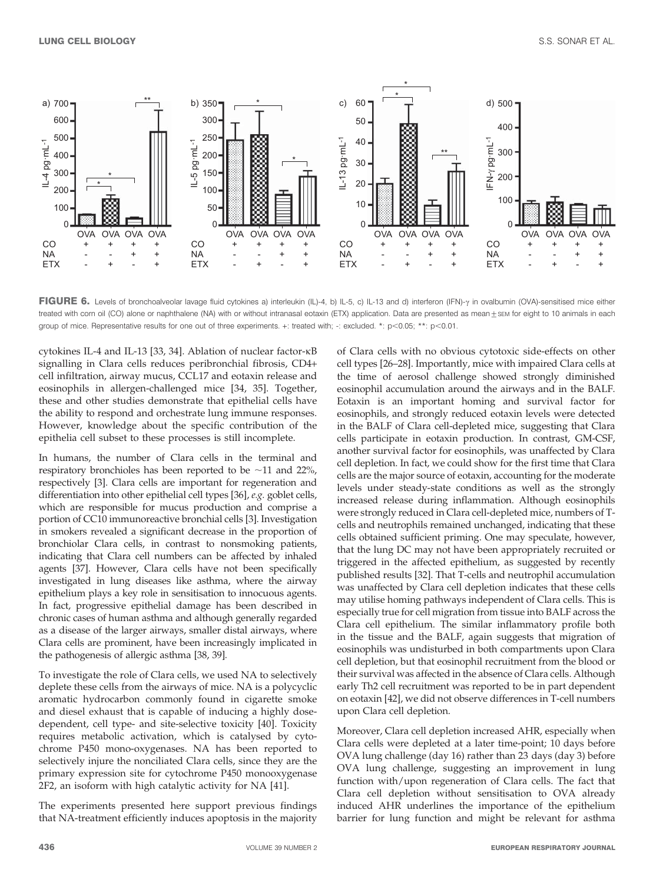

FIGURE 6. Levels of bronchoalveolar lavage fluid cytokines a) interleukin (IL)-4, b) IL-5, c) IL-13 and d) interferon (IFN)- $\gamma$  in ovalbumin (OVA)-sensitised mice either treated with corn oil (CO) alone or naphthalene (NA) with or without intranasal eotaxin (ETX) application. Data are presented as mean  $\pm$  sem for eight to 10 animals in each group of mice. Representative results for one out of three experiments.  $+$ : treated with;  $-$ : excluded. \*:  $p$ <0.05; \*\*:  $p$ <0.01.

cytokines IL-4 and IL-13 [33, 34]. Ablation of nuclear factor-kB signalling in Clara cells reduces peribronchial fibrosis, CD4+ cell infiltration, airway mucus, CCL17 and eotaxin release and eosinophils in allergen-challenged mice [34, 35]. Together, these and other studies demonstrate that epithelial cells have the ability to respond and orchestrate lung immune responses. However, knowledge about the specific contribution of the epithelia cell subset to these processes is still incomplete.

In humans, the number of Clara cells in the terminal and respiratory bronchioles has been reported to be  $\sim$ 11 and 22%, respectively [3]. Clara cells are important for regeneration and differentiation into other epithelial cell types [36], e.g. goblet cells, which are responsible for mucus production and comprise a portion of CC10 immunoreactive bronchial cells [3]. Investigation in smokers revealed a significant decrease in the proportion of bronchiolar Clara cells, in contrast to nonsmoking patients, indicating that Clara cell numbers can be affected by inhaled agents [37]. However, Clara cells have not been specifically investigated in lung diseases like asthma, where the airway epithelium plays a key role in sensitisation to innocuous agents. In fact, progressive epithelial damage has been described in chronic cases of human asthma and although generally regarded as a disease of the larger airways, smaller distal airways, where Clara cells are prominent, have been increasingly implicated in the pathogenesis of allergic asthma [38, 39].

To investigate the role of Clara cells, we used NA to selectively deplete these cells from the airways of mice. NA is a polycyclic aromatic hydrocarbon commonly found in cigarette smoke and diesel exhaust that is capable of inducing a highly dosedependent, cell type- and site-selective toxicity [40]. Toxicity requires metabolic activation, which is catalysed by cytochrome P450 mono-oxygenases. NA has been reported to selectively injure the nonciliated Clara cells, since they are the primary expression site for cytochrome P450 monooxygenase 2F2, an isoform with high catalytic activity for NA [41].

The experiments presented here support previous findings that NA-treatment efficiently induces apoptosis in the majority of Clara cells with no obvious cytotoxic side-effects on other cell types [26–28]. Importantly, mice with impaired Clara cells at the time of aerosol challenge showed strongly diminished eosinophil accumulation around the airways and in the BALF. Eotaxin is an important homing and survival factor for eosinophils, and strongly reduced eotaxin levels were detected in the BALF of Clara cell-depleted mice, suggesting that Clara cells participate in eotaxin production. In contrast, GM-CSF, another survival factor for eosinophils, was unaffected by Clara cell depletion. In fact, we could show for the first time that Clara cells are the major source of eotaxin, accounting for the moderate levels under steady-state conditions as well as the strongly increased release during inflammation. Although eosinophils were strongly reduced in Clara cell-depleted mice, numbers of Tcells and neutrophils remained unchanged, indicating that these cells obtained sufficient priming. One may speculate, however, that the lung DC may not have been appropriately recruited or triggered in the affected epithelium, as suggested by recently published results [32]. That T-cells and neutrophil accumulation was unaffected by Clara cell depletion indicates that these cells may utilise homing pathways independent of Clara cells. This is especially true for cell migration from tissue into BALF across the Clara cell epithelium. The similar inflammatory profile both in the tissue and the BALF, again suggests that migration of eosinophils was undisturbed in both compartments upon Clara cell depletion, but that eosinophil recruitment from the blood or their survival was affected in the absence of Clara cells. Although early Th2 cell recruitment was reported to be in part dependent on eotaxin [42], we did not observe differences in T-cell numbers upon Clara cell depletion.

Moreover, Clara cell depletion increased AHR, especially when Clara cells were depleted at a later time-point; 10 days before OVA lung challenge (day 16) rather than 23 days (day 3) before OVA lung challenge, suggesting an improvement in lung function with/upon regeneration of Clara cells. The fact that Clara cell depletion without sensitisation to OVA already induced AHR underlines the importance of the epithelium barrier for lung function and might be relevant for asthma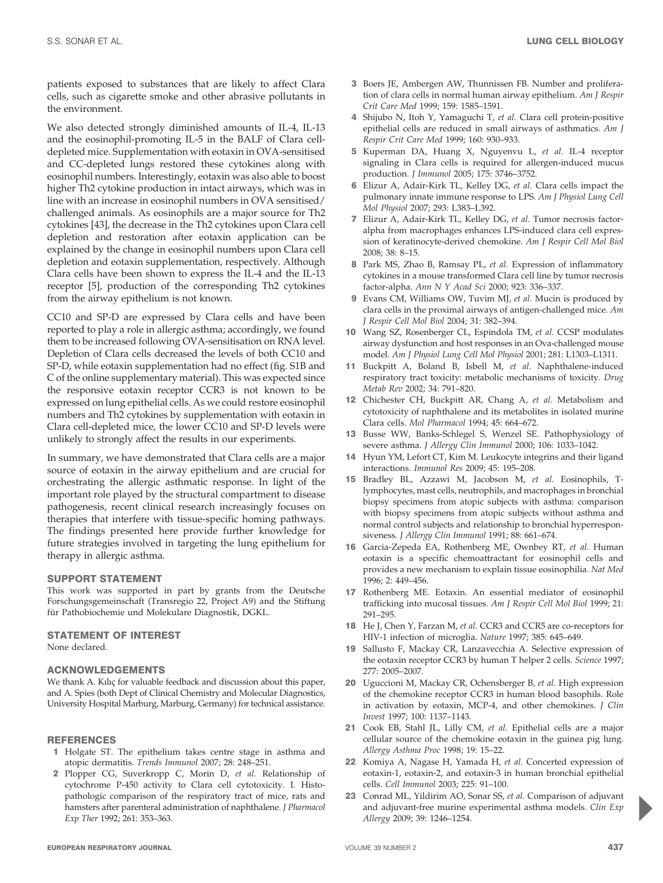patients exposed to substances that are likely to affect Clara cells, such as cigarette smoke and other abrasive pollutants in the environment.

We also detected strongly diminished amounts of IL-4, IL-13 and the eosinophil-promoting IL-5 in the BALF of Clara celldepleted mice. Supplementation with eotaxin in OVA-sensitised and CC-depleted lungs restored these cytokines along with eosinophil numbers. Interestingly, eotaxin was also able to boost higher Th2 cytokine production in intact airways, which was in line with an increase in eosinophil numbers in OVA sensitised/ challenged animals. As eosinophils are a major source for Th2 cytokines [43], the decrease in the Th2 cytokines upon Clara cell depletion and restoration after eotaxin application can be explained by the change in eosinophil numbers upon Clara cell depletion and eotaxin supplementation, respectively. Although Clara cells have been shown to express the IL-4 and the IL-13 receptor [5], production of the corresponding Th2 cytokines from the airway epithelium is not known.

CC10 and SP-D are expressed by Clara cells and have been reported to play a role in allergic asthma; accordingly, we found them to be increased following OVA-sensitisation on RNA level. Depletion of Clara cells decreased the levels of both CC10 and SP-D, while eotaxin supplementation had no effect (fig. S1B and C of the online supplementary material). This was expected since the responsive eotaxin receptor CCR3 is not known to be expressed on lung epithelial cells. As we could restore eosinophil numbers and Th2 cytokines by supplementation with eotaxin in Clara cell-depleted mice, the lower CC10 and SP-D levels were unlikely to strongly affect the results in our experiments.

In summary, we have demonstrated that Clara cells are a major source of eotaxin in the airway epithelium and are crucial for orchestrating the allergic asthmatic response. In light of the important role played by the structural compartment to disease pathogenesis, recent clinical research increasingly focuses on therapies that interfere with tissue-specific homing pathways. The findings presented here provide further knowledge for future strategies involved in targeting the lung epithelium for therapy in allergic asthma.

# SUPPORT STATEMENT

This work was supported in part by grants from the Deutsche Forschungsgemeinschaft (Transregio 22, Project A9) and the Stiftung für Pathobiochemie und Molekulare Diagnostik, DGKL.

# STATEMENT OF INTEREST

None declared.

# ACKNOWLEDGEMENTS

We thank A. Kılıç for valuable feedback and discussion about this paper, and A. Spies (both Dept of Clinical Chemistry and Molecular Diagnostics, University Hospital Marburg, Marburg, Germany) for technical assistance.

# **REFERENCES**

- 1 Holgate ST. The epithelium takes centre stage in asthma and atopic dermatitis. Trends Immunol 2007; 28: 248–251.
- 2 Plopper CG, Suverkropp C, Morin D, et al. Relationship of cytochrome P-450 activity to Clara cell cytotoxicity. I. Histopathologic comparison of the respiratory tract of mice, rats and hamsters after parenteral administration of naphthalene. J Pharmacol Exp Ther 1992; 261: 353–363.
- 3 Boers JE, Ambergen AW, Thunnissen FB. Number and proliferation of clara cells in normal human airway epithelium. Am J Respir Crit Care Med 1999; 159: 1585–1591.
- 4 Shijubo N, Itoh Y, Yamaguchi T, et al. Clara cell protein-positive epithelial cells are reduced in small airways of asthmatics. Am J Respir Crit Care Med 1999; 160: 930–933.
- 5 Kuperman DA, Huang X, Nguyenvu L, et al. IL-4 receptor signaling in Clara cells is required for allergen-induced mucus production. J Immunol 2005; 175: 3746–3752.
- 6 Elizur A, Adair-Kirk TL, Kelley DG, et al. Clara cells impact the pulmonary innate immune response to LPS. Am J Physiol Lung Cell Mol Physiol 2007; 293: L383–L392.
- 7 Elizur A, Adair-Kirk TL, Kelley DG, et al. Tumor necrosis factoralpha from macrophages enhances LPS-induced clara cell expression of keratinocyte-derived chemokine. Am J Respir Cell Mol Biol 2008; 38: 8–15.
- 8 Park MS, Zhao B, Ramsay PL, et al. Expression of inflammatory cytokines in a mouse transformed Clara cell line by tumor necrosis factor-alpha. Ann N Y Acad Sci 2000; 923: 336–337.
- 9 Evans CM, Williams OW, Tuvim MJ, et al. Mucin is produced by clara cells in the proximal airways of antigen-challenged mice. Am J Respir Cell Mol Biol 2004; 31: 382–394.
- 10 Wang SZ, Rosenberger CL, Espindola TM, et al. CCSP modulates airway dysfunction and host responses in an Ova-challenged mouse model. Am J Physiol Lung Cell Mol Physiol 2001; 281: L1303–L1311.
- 11 Buckpitt A, Boland B, Isbell M, et al. Naphthalene-induced respiratory tract toxicity: metabolic mechanisms of toxicity. Drug Metab Rev 2002; 34: 791–820.
- 12 Chichester CH, Buckpitt AR, Chang A, et al. Metabolism and cytotoxicity of naphthalene and its metabolites in isolated murine Clara cells. Mol Pharmacol 1994; 45: 664–672.
- 13 Busse WW, Banks-Schlegel S, Wenzel SE. Pathophysiology of severe asthma. J Allergy Clin Immunol 2000; 106: 1033–1042.
- 14 Hyun YM, Lefort CT, Kim M. Leukocyte integrins and their ligand interactions. Immunol Res 2009; 45: 195–208.
- 15 Bradley BL, Azzawi M, Jacobson M, et al. Eosinophils, Tlymphocytes, mast cells, neutrophils, and macrophages in bronchial biopsy specimens from atopic subjects with asthma: comparison with biopsy specimens from atopic subjects without asthma and normal control subjects and relationship to bronchial hyperresponsiveness. J Allergy Clin Immunol 1991; 88: 661–674.
- 16 Garcia-Zepeda EA, Rothenberg ME, Ownbey RT, et al. Human eotaxin is a specific chemoattractant for eosinophil cells and provides a new mechanism to explain tissue eosinophilia. Nat Med 1996; 2: 449–456.
- 17 Rothenberg ME. Eotaxin. An essential mediator of eosinophil trafficking into mucosal tissues. Am J Respir Cell Mol Biol 1999; 21: 291–295.
- 18 He J, Chen Y, Farzan M, et al. CCR3 and CCR5 are co-receptors for HIV-1 infection of microglia. Nature 1997; 385: 645–649.
- 19 Sallusto F, Mackay CR, Lanzavecchia A. Selective expression of the eotaxin receptor CCR3 by human T helper 2 cells. Science 1997; 277: 2005–2007.
- 20 Uguccioni M, Mackay CR, Ochensberger B, et al. High expression of the chemokine receptor CCR3 in human blood basophils. Role in activation by eotaxin, MCP-4, and other chemokines. J Clin Invest 1997; 100: 1137–1143.
- 21 Cook EB, Stahl JL, Lilly CM, et al. Epithelial cells are a major cellular source of the chemokine eotaxin in the guinea pig lung. Allergy Asthma Proc 1998; 19: 15–22.
- 22 Komiya A, Nagase H, Yamada H, et al. Concerted expression of eotaxin-1, eotaxin-2, and eotaxin-3 in human bronchial epithelial cells. Cell Immunol 2003; 225: 91–100.
- 23 Conrad ML, Yildirim AO, Sonar SS, et al. Comparison of adjuvant and adjuvant-free murine experimental asthma models. Clin Exp Allergy 2009; 39: 1246–1254.